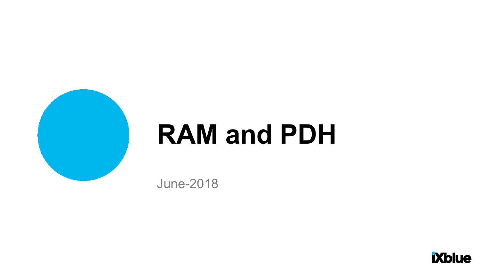

# **RAM and PDH**

June-2018

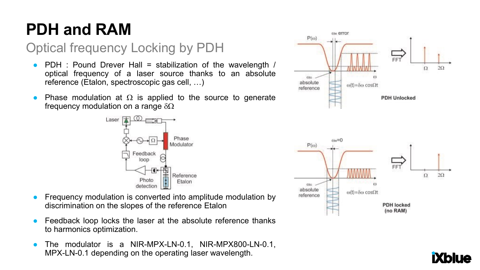## **PDH and RAM**

### Optical frequency Locking by PDH

- PDH : Pound Drever Hall = stabilization of the wavelength / optical frequency of a laser source thanks to an absolute reference (Etalon, spectroscopic gas cell, …)
- Phase modulation at  $\Omega$  is applied to the source to generate frequency modulation on a range  $\delta\Omega$



- Frequency modulation is converted into amplitude modulation by discrimination on the slopes of the reference Etalon
- Feedback loop locks the laser at the absolute reference thanks to harmonics optimization.
- The modulator is a NIR-MPX-LN-0.1, NIR-MPX800-LN-0.1, MPX-LN-0.1 depending on the operating laser wavelength.



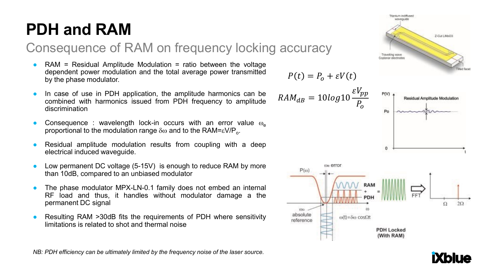## **PDH and RAM**

#### Consequence of RAM on frequency locking accuracy

- $RAM = Residual$  Amplitude Modulation = ratio between the voltage dependent power modulation and the total average power transmitted by the phase modulator.
- In case of use in PDH application, the amplitude harmonics can be combined with harmonics issued from PDH frequency to amplitude discrimination
- Consequence : wavelength lock-in occurs with an error value  $\omega_{\alpha}$ proportional to the modulation range δω and to the RAM=εV/P<sub>o</sub>.
- Residual amplitude modulation results from coupling with a deep electrical induced waveguide.
- Low permanent DC voltage  $(5-15V)$  is enough to reduce RAM by more than 10dB, compared to an unbiased modulator
- The phase modulator MPX-LN-0.1 family does not embed an internal RF load and thus, it handles without modulator damage a the permanent DC signal
- Resulting RAM >30dB fits the requirements of PDH where sensitivity limitations is related to shot and thermal noise

$$
P(t) = P_o + \varepsilon V(t)
$$

$$
RAM_{dB} = 10 log 10 \frac{\varepsilon V_{pp}}{P_o}
$$